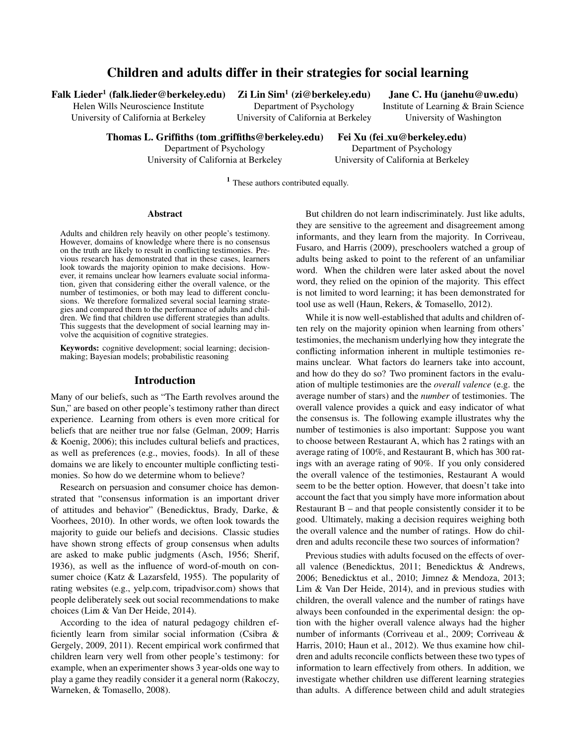# Children and adults differ in their strategies for social learning

Falk Lieder $^1$  (falk.lieder@berkeley.edu)  $\;$  Zi Lin Sim $^1$ 

Helen Wills Neuroscience Institute Department of Psychology Institute of Learning & Brain Science University of California at Berkeley University of California at Berkeley University of Washington

 $Zi$  Lin Sim<sup>1</sup> (zi@berkeley.edu) Jane C. Hu (janehu@uw.edu)

Thomas L. Griffiths (tom griffiths@berkeley.edu) Fei Xu (fei xu@berkeley.edu)

Department of Psychology Department of Psychology

University of California at Berkeley University of California at Berkeley

<sup>1</sup> These authors contributed equally.

### Abstract

Adults and children rely heavily on other people's testimony. However, domains of knowledge where there is no consensus on the truth are likely to result in conflicting testimonies. Previous research has demonstrated that in these cases, learners look towards the majority opinion to make decisions. However, it remains unclear how learners evaluate social information, given that considering either the overall valence, or the number of testimonies, or both may lead to different conclusions. We therefore formalized several social learning strategies and compared them to the performance of adults and children. We find that children use different strategies than adults. This suggests that the development of social learning may involve the acquisition of cognitive strategies.

Keywords: cognitive development; social learning; decisionmaking; Bayesian models; probabilistic reasoning

### Introduction

Many of our beliefs, such as "The Earth revolves around the Sun," are based on other people's testimony rather than direct experience. Learning from others is even more critical for beliefs that are neither true nor false (Gelman, 2009; Harris & Koenig, 2006); this includes cultural beliefs and practices, as well as preferences (e.g., movies, foods). In all of these domains we are likely to encounter multiple conflicting testimonies. So how do we determine whom to believe?

Research on persuasion and consumer choice has demonstrated that "consensus information is an important driver of attitudes and behavior" (Benedicktus, Brady, Darke, & Voorhees, 2010). In other words, we often look towards the majority to guide our beliefs and decisions. Classic studies have shown strong effects of group consensus when adults are asked to make public judgments (Asch, 1956; Sherif, 1936), as well as the influence of word-of-mouth on consumer choice (Katz & Lazarsfeld, 1955). The popularity of rating websites (e.g., yelp.com, tripadvisor.com) shows that people deliberately seek out social recommendations to make choices (Lim & Van Der Heide, 2014).

According to the idea of natural pedagogy children efficiently learn from similar social information (Csibra & Gergely, 2009, 2011). Recent empirical work confirmed that children learn very well from other people's testimony: for example, when an experimenter shows 3 year-olds one way to play a game they readily consider it a general norm (Rakoczy, Warneken, & Tomasello, 2008).

But children do not learn indiscriminately. Just like adults, they are sensitive to the agreement and disagreement among informants, and they learn from the majority. In Corriveau, Fusaro, and Harris (2009), preschoolers watched a group of adults being asked to point to the referent of an unfamiliar word. When the children were later asked about the novel word, they relied on the opinion of the majority. This effect is not limited to word learning; it has been demonstrated for tool use as well (Haun, Rekers, & Tomasello, 2012).

While it is now well-established that adults and children often rely on the majority opinion when learning from others' testimonies, the mechanism underlying how they integrate the conflicting information inherent in multiple testimonies remains unclear. What factors do learners take into account, and how do they do so? Two prominent factors in the evaluation of multiple testimonies are the *overall valence* (e.g. the average number of stars) and the *number* of testimonies. The overall valence provides a quick and easy indicator of what the consensus is. The following example illustrates why the number of testimonies is also important: Suppose you want to choose between Restaurant A, which has 2 ratings with an average rating of 100%, and Restaurant B, which has 300 ratings with an average rating of 90%. If you only considered the overall valence of the testimonies, Restaurant A would seem to be the better option. However, that doesn't take into account the fact that you simply have more information about Restaurant B – and that people consistently consider it to be good. Ultimately, making a decision requires weighing both the overall valence and the number of ratings. How do children and adults reconcile these two sources of information?

Previous studies with adults focused on the effects of overall valence (Benedicktus, 2011; Benedicktus & Andrews, 2006; Benedicktus et al., 2010; Jimnez & Mendoza, 2013; Lim & Van Der Heide, 2014), and in previous studies with children, the overall valence and the number of ratings have always been confounded in the experimental design: the option with the higher overall valence always had the higher number of informants (Corriveau et al., 2009; Corriveau & Harris, 2010; Haun et al., 2012). We thus examine how children and adults reconcile conflicts between these two types of information to learn effectively from others. In addition, we investigate whether children use different learning strategies than adults. A difference between child and adult strategies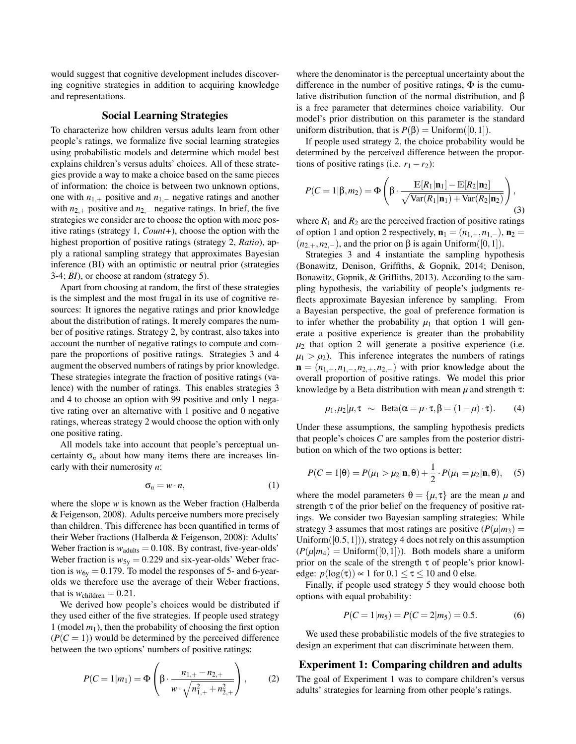would suggest that cognitive development includes discovering cognitive strategies in addition to acquiring knowledge and representations.

# Social Learning Strategies

To characterize how children versus adults learn from other people's ratings, we formalize five social learning strategies using probabilistic models and determine which model best explains children's versus adults' choices. All of these strategies provide a way to make a choice based on the same pieces of information: the choice is between two unknown options, one with *n*1,<sup>+</sup> positive and *n*1,<sup>−</sup> negative ratings and another with *n*<sub>2,+</sub> positive and *n*<sub>2,−</sub> negative ratings. In brief, the five strategies we consider are to choose the option with more positive ratings (strategy 1, *Count+*), choose the option with the highest proportion of positive ratings (strategy 2, *Ratio*), apply a rational sampling strategy that approximates Bayesian inference (BI) with an optimistic or neutral prior (strategies 3-4; *BI*), or choose at random (strategy 5).

Apart from choosing at random, the first of these strategies is the simplest and the most frugal in its use of cognitive resources: It ignores the negative ratings and prior knowledge about the distribution of ratings. It merely compares the number of positive ratings. Strategy 2, by contrast, also takes into account the number of negative ratings to compute and compare the proportions of positive ratings. Strategies 3 and 4 augment the observed numbers of ratings by prior knowledge. These strategies integrate the fraction of positive ratings (valence) with the number of ratings. This enables strategies 3 and 4 to choose an option with 99 positive and only 1 negative rating over an alternative with 1 positive and 0 negative ratings, whereas strategy 2 would choose the option with only one positive rating.

All models take into account that people's perceptual uncertainty  $\sigma_n$  about how many items there are increases linearly with their numerosity *n*:

$$
\sigma_n = w \cdot n,\tag{1}
$$

where the slope *w* is known as the Weber fraction (Halberda & Feigenson, 2008). Adults perceive numbers more precisely than children. This difference has been quantified in terms of their Weber fractions (Halberda & Feigenson, 2008): Adults' Weber fraction is  $w_{\text{adults}} = 0.108$ . By contrast, five-year-olds' Weber fraction is  $w_{5y} = 0.229$  and six-year-olds' Weber fraction is  $w_{6y} = 0.179$ . To model the responses of 5- and 6-yearolds we therefore use the average of their Weber fractions, that is  $w_{children} = 0.21$ .

We derived how people's choices would be distributed if they used either of the five strategies. If people used strategy 1 (model  $m_1$ ), then the probability of choosing the first option  $(P(C = 1))$  would be determined by the perceived difference between the two options' numbers of positive ratings:

$$
P(C=1|m_1) = \Phi\left(\beta \cdot \frac{n_{1,+} - n_{2,+}}{w \cdot \sqrt{n_{1,+}^2 + n_{2,+}^2}}\right),\qquad(2)
$$

where the denominator is the perceptual uncertainty about the difference in the number of positive ratings, Φ is the cumulative distribution function of the normal distribution, and β is a free parameter that determines choice variability. Our model's prior distribution on this parameter is the standard uniform distribution, that is  $P(\beta) = \text{Uniform}([0,1])$ .

If people used strategy 2, the choice probability would be determined by the perceived difference between the proportions of positive ratings (i.e.  $r_1 - r_2$ ):

$$
P(C=1|\beta,m_2) = \Phi\left(\beta \cdot \frac{\mathbb{E}[R_1|\mathbf{n}_1] - \mathbb{E}[R_2|\mathbf{n}_2]}{\sqrt{\text{Var}(R_1|\mathbf{n}_1) + \text{Var}(R_2|\mathbf{n}_2)}}\right),\tag{3}
$$

where  $R_1$  and  $R_2$  are the perceived fraction of positive ratings of option 1 and option 2 respectively,  $\mathbf{n}_1 = (n_{1,+}, n_{1,-})$ ,  $\mathbf{n}_2 =$  $(n_{2,+}, n_{2,-})$ , and the prior on  $\beta$  is again Uniform([0,1]).

Strategies 3 and 4 instantiate the sampling hypothesis (Bonawitz, Denison, Griffiths, & Gopnik, 2014; Denison, Bonawitz, Gopnik, & Griffiths, 2013). According to the sampling hypothesis, the variability of people's judgments reflects approximate Bayesian inference by sampling. From a Bayesian perspective, the goal of preference formation is to infer whether the probability  $\mu_1$  that option 1 will generate a positive experience is greater than the probability  $\mu_2$  that option 2 will generate a positive experience (i.e.  $\mu_1 > \mu_2$ ). This inference integrates the numbers of ratings  $\mathbf{n} = (n_{1,+}, n_{1,-}, n_{2,+}, n_{2,-})$  with prior knowledge about the overall proportion of positive ratings. We model this prior knowledge by a Beta distribution with mean *µ* and strength τ:

$$
\mu_1, \mu_2 | \mu, \tau \sim \text{Beta}(\alpha = \mu \cdot \tau, \beta = (1 - \mu) \cdot \tau).
$$
 (4)

Under these assumptions, the sampling hypothesis predicts that people's choices *C* are samples from the posterior distribution on which of the two options is better:

$$
P(C=1|\Theta) = P(\mu_1 > \mu_2|\mathbf{n}, \Theta) + \frac{1}{2} \cdot P(\mu_1 = \mu_2|\mathbf{n}, \Theta), \quad (5)
$$

where the model parameters  $\theta = {\mu, \tau}$  are the mean  $\mu$  and strength  $\tau$  of the prior belief on the frequency of positive ratings. We consider two Bayesian sampling strategies: While strategy 3 assumes that most ratings are positive  $(P(\mu|m_3))$ Uniform( $[0.5,1]$ )), strategy 4 does not rely on this assumption  $(P(\mu|m_4) = \text{Uniform}([0,1]))$ . Both models share a uniform prior on the scale of the strength  $\tau$  of people's prior knowledge:  $p(\log(\tau)) \propto 1$  for  $0.1 \le \tau \le 10$  and 0 else.

Finally, if people used strategy 5 they would choose both options with equal probability:

$$
P(C = 1|m_5) = P(C = 2|m_5) = 0.5.
$$
 (6)

We used these probabilistic models of the five strategies to design an experiment that can discriminate between them.

### Experiment 1: Comparing children and adults

The goal of Experiment 1 was to compare children's versus adults' strategies for learning from other people's ratings.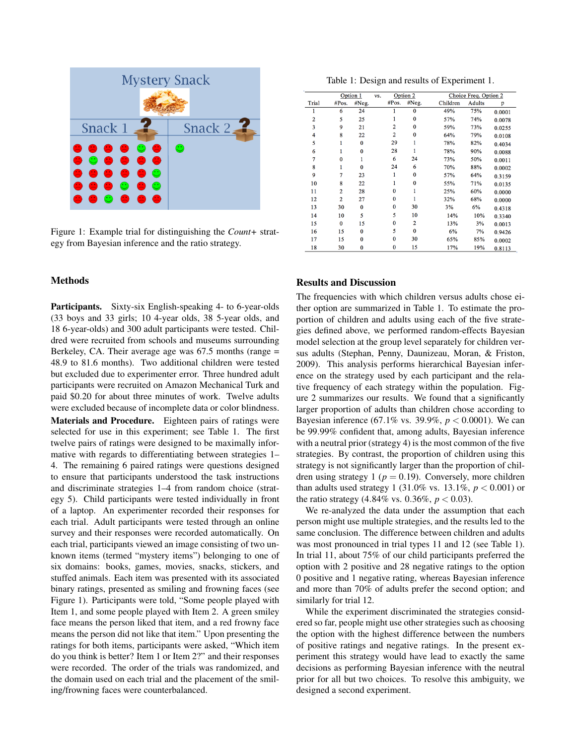

Figure 1: Example trial for distinguishing the *Count+* strategy from Bayesian inference and the ratio strategy.

# Methods

Participants. Sixty-six English-speaking 4- to 6-year-olds (33 boys and 33 girls; 10 4-year olds, 38 5-year olds, and 18 6-year-olds) and 300 adult participants were tested. Childred were recruited from schools and museums surrounding Berkeley, CA. Their average age was 67.5 months (range = 48.9 to 81.6 months). Two additional children were tested but excluded due to experimenter error. Three hundred adult participants were recruited on Amazon Mechanical Turk and paid \$0.20 for about three minutes of work. Twelve adults were excluded because of incomplete data or color blindness. Materials and Procedure. Eighteen pairs of ratings were selected for use in this experiment; see Table 1. The first twelve pairs of ratings were designed to be maximally informative with regards to differentiating between strategies 1– 4. The remaining 6 paired ratings were questions designed to ensure that participants understood the task instructions and discriminate strategies 1–4 from random choice (strategy 5). Child participants were tested individually in front of a laptop. An experimenter recorded their responses for each trial. Adult participants were tested through an online survey and their responses were recorded automatically. On each trial, participants viewed an image consisting of two unknown items (termed "mystery items") belonging to one of six domains: books, games, movies, snacks, stickers, and stuffed animals. Each item was presented with its associated binary ratings, presented as smiling and frowning faces (see Figure 1). Participants were told, "Some people played with Item 1, and some people played with Item 2. A green smiley face means the person liked that item, and a red frowny face means the person did not like that item." Upon presenting the ratings for both items, participants were asked, "Which item do you think is better? Item 1 or Item 2?" and their responses were recorded. The order of the trials was randomized, and the domain used on each trial and the placement of the smiling/frowning faces were counterbalanced.

Table 1: Design and results of Experiment 1.

|                | Option 1       |          | VS. | Option 2     |          |          | Choice Freq. Option 2 |        |  |
|----------------|----------------|----------|-----|--------------|----------|----------|-----------------------|--------|--|
| Trial          | #Pos.          | #Neg.    |     | #Pos.        | #Neg.    | Children | Adults                | p      |  |
|                | 6              | 24       |     |              | $\bf{0}$ | 49%      | 75%                   | 0.0001 |  |
| $\overline{2}$ | 5              | 25       |     |              | 0        | 57%      | 74%                   | 0.0078 |  |
| 3              | 9              | 21       |     | 2            | 0        | 59%      | 73%                   | 0.0255 |  |
| 4              | 8              | 22       |     | 2            | 0        | 64%      | 79%                   | 0.0108 |  |
| 5              |                | 0        |     | 29           |          | 78%      | 82%                   | 0.4034 |  |
| 6              | 1              | $\bf{0}$ |     | 28           |          | 78%      | 90%                   | 0.0088 |  |
| 7              | 0              |          |     | 6            | 24       | 73%      | 50%                   | 0.0011 |  |
| 8              |                | $\Omega$ |     | 24           | 6        | 70%      | 88%                   | 0.0002 |  |
| 9              | 7              | 23       |     |              | $\bf{0}$ | 57%      | 64%                   | 0.3159 |  |
| 10             | 8              | 22       |     |              | 0        | 55%      | 71%                   | 0.0135 |  |
| 11             | 2              | 28       |     | 0            |          | 25%      | 60%                   | 0.0000 |  |
| 12             | $\overline{2}$ | 27       |     | $\bf{0}$     |          | 32%      | 68%                   | 0.0000 |  |
| 13             | 30             | $\bf{0}$ |     | $\mathbf{0}$ | 30       | 3%       | 6%                    | 0.4318 |  |
| 14             | 10             | 5        |     | 5            | 10       | 14%      | 10%                   | 0.3340 |  |
| 15             | $\bf{0}$       | 15       |     | 0            | 2        | 13%      | 3%                    | 0.0013 |  |
| 16             | 15             | $\bf{0}$ |     | 5            | $\bf{0}$ | 6%       | 7%                    | 0.9426 |  |
| 17             | 15             | $\bf{0}$ |     | $\bf{0}$     | 30       | 65%      | 85%                   | 0.0002 |  |
| 18             | 30             | $\bf{0}$ |     | 0            | 15       | 17%      | 19%                   | 0.8113 |  |

#### Results and Discussion

The frequencies with which children versus adults chose either option are summarized in Table 1. To estimate the proportion of children and adults using each of the five strategies defined above, we performed random-effects Bayesian model selection at the group level separately for children versus adults (Stephan, Penny, Daunizeau, Moran, & Friston, 2009). This analysis performs hierarchical Bayesian inference on the strategy used by each participant and the relative frequency of each strategy within the population. Figure 2 summarizes our results. We found that a significantly larger proportion of adults than children chose according to Bayesian inference (67.1% vs. 39.9%, *p* < 0.0001). We can be 99.99% confident that, among adults, Bayesian inference with a neutral prior (strategy 4) is the most common of the five strategies. By contrast, the proportion of children using this strategy is not significantly larger than the proportion of children using strategy 1 ( $p = 0.19$ ). Conversely, more children than adults used strategy 1 (31.0% vs. 13.1%,  $p < 0.001$ ) or the ratio strategy (4.84% vs. 0.36%,  $p < 0.03$ ).

We re-analyzed the data under the assumption that each person might use multiple strategies, and the results led to the same conclusion. The difference between children and adults was most pronounced in trial types 11 and 12 (see Table 1). In trial 11, about 75% of our child participants preferred the option with 2 positive and 28 negative ratings to the option 0 positive and 1 negative rating, whereas Bayesian inference and more than 70% of adults prefer the second option; and similarly for trial 12.

While the experiment discriminated the strategies considered so far, people might use other strategies such as choosing the option with the highest difference between the numbers of positive ratings and negative ratings. In the present experiment this strategy would have lead to exactly the same decisions as performing Bayesian inference with the neutral prior for all but two choices. To resolve this ambiguity, we designed a second experiment.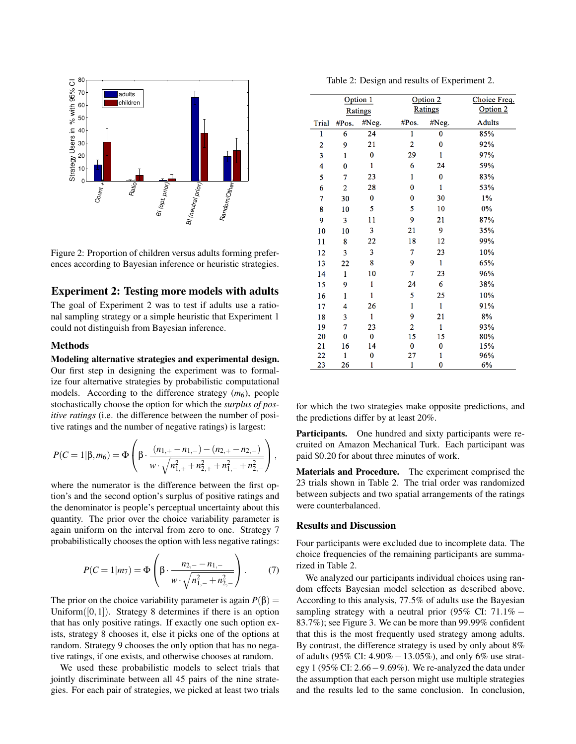

Figure 2: Proportion of children versus adults forming preferences according to Bayesian inference or heuristic strategies.

# Experiment 2: Testing more models with adults

The goal of Experiment 2 was to test if adults use a rational sampling strategy or a simple heuristic that Experiment 1 could not distinguish from Bayesian inference.

# Methods

Modeling alternative strategies and experimental design. Our first step in designing the experiment was to formalize four alternative strategies by probabilistic computational models. According to the difference strategy  $(m_6)$ , people stochastically choose the option for which the *surplus of positive ratings* (i.e. the difference between the number of positive ratings and the number of negative ratings) is largest:

$$
P(C=1|\beta,m_6)=\Phi\left(\beta\cdot\frac{(n_{1,+}-n_{1,-})-(n_{2,+}-n_{2,-})}{w\cdot\sqrt{n_{1,+}^2+n_{2,+}^2+n_{1,-}^2+n_{2,-}^2}}\right),\,
$$

where the numerator is the difference between the first option's and the second option's surplus of positive ratings and the denominator is people's perceptual uncertainty about this quantity. The prior over the choice variability parameter is again uniform on the interval from zero to one. Strategy 7 probabilistically chooses the option with less negative ratings:

$$
P(C=1|m_7) = \Phi\left(\beta \cdot \frac{n_{2,-} - n_{1,-}}{w \cdot \sqrt{n_{1,-}^2 + n_{2,-}^2}}\right). \tag{7}
$$

The prior on the choice variability parameter is again  $P(\beta) =$ Uniform( $[0,1]$ ). Strategy 8 determines if there is an option that has only positive ratings. If exactly one such option exists, strategy 8 chooses it, else it picks one of the options at random. Strategy 9 chooses the only option that has no negative ratings, if one exists, and otherwise chooses at random.

We used these probabilistic models to select trials that jointly discriminate between all 45 pairs of the nine strategies. For each pair of strategies, we picked at least two trials

|       | Option 1<br>Ratings |              |                | Option $2$   | Choice Freq.<br>Option 2 |  |
|-------|---------------------|--------------|----------------|--------------|--------------------------|--|
|       |                     |              |                | Ratings      |                          |  |
| Trial | #Pos.               | #Neg.        | #Pos.          | #Neg.        | <b>Adults</b>            |  |
| 1     | 6                   | 24           | 1              | $\bf{0}$     | 85%                      |  |
| 2     | 9                   | 21           | 2              | $\bf{0}$     | 92%                      |  |
| 3     | 1                   | $\bf{0}$     | 29             | 1            | 97%                      |  |
| 4     | $\bf{0}$            | 1            | 6              | 24           | 59%                      |  |
| 5     | 7                   | 23           | $\mathbf{1}$   | $\bf{0}$     | 83%                      |  |
| 6     | 2                   | 28           | $\bf{0}$       | $\mathbf{1}$ | 53%                      |  |
| 7     | 30                  | 0            | 0              | 30           | $1\%$                    |  |
| 8     | 10                  | 5            | 5              | 10           | 0%                       |  |
| 9     | 3                   | 11           | 9              | 21           | 87%                      |  |
| 10    | 10                  | 3            | 21             | 9            | 35%                      |  |
| 11    | 8                   | 22           | 18             | 12           | 99%                      |  |
| 12    | 3                   | 3            | 7              | 23           | 10%                      |  |
| 13    | 22                  | 8            | 9              | $\mathbf{1}$ | 65%                      |  |
| 14    | $\mathbf{1}$        | 10           | 7              | 23           | 96%                      |  |
| 15    | 9                   | 1            | 24             | 6            | 38%                      |  |
| 16    | 1                   | $\mathbf{1}$ | 5              | 25           | 10%                      |  |
| 17    | 4                   | 26           | 1              | $\mathbf{1}$ | 91%                      |  |
| 18    | 3                   | 1            | 9              | 21           | 8%                       |  |
| 19    | 7                   | 23           | $\overline{2}$ | $\mathbf{1}$ | 93%                      |  |
| 20    | $\bf{0}$            | $\bf{0}$     | 15             | 15           | 80%                      |  |
| 21    | 16                  | 14           | $\bf{0}$       | 0            | 15%                      |  |
| 22    | 1                   | 0            | 27             | 1            | 96%                      |  |
| 23    | 26                  | 1            | 1              | 0            | 6%                       |  |

Table 2: Design and results of Experiment 2.

for which the two strategies make opposite predictions, and the predictions differ by at least 20%.

Participants. One hundred and sixty participants were recruited on Amazon Mechanical Turk. Each participant was paid \$0.20 for about three minutes of work.

Materials and Procedure. The experiment comprised the 23 trials shown in Table 2. The trial order was randomized between subjects and two spatial arrangements of the ratings were counterbalanced.

### Results and Discussion

Four participants were excluded due to incomplete data. The choice frequencies of the remaining participants are summarized in Table 2.

We analyzed our participants individual choices using random effects Bayesian model selection as described above. According to this analysis, 77.5% of adults use the Bayesian sampling strategy with a neutral prior (95% CI:  $71.1\%$  – 83.7%); see Figure 3. We can be more than 99.99% confident that this is the most frequently used strategy among adults. By contrast, the difference strategy is used by only about 8% of adults (95% CI: 4.90% −13.05%), and only 6% use strategy 1 (95% CI: 2.66−9.69%). We re-analyzed the data under the assumption that each person might use multiple strategies and the results led to the same conclusion. In conclusion,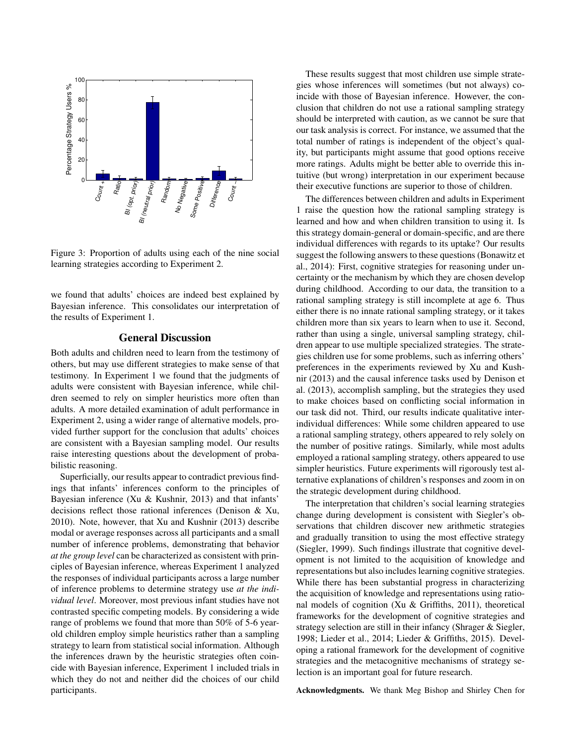

Figure 3: Proportion of adults using each of the nine social learning strategies according to Experiment 2.

we found that adults' choices are indeed best explained by Bayesian inference. This consolidates our interpretation of the results of Experiment 1.

### General Discussion

Both adults and children need to learn from the testimony of others, but may use different strategies to make sense of that testimony. In Experiment 1 we found that the judgments of adults were consistent with Bayesian inference, while children seemed to rely on simpler heuristics more often than adults. A more detailed examination of adult performance in Experiment 2, using a wider range of alternative models, provided further support for the conclusion that adults' choices are consistent with a Bayesian sampling model. Our results raise interesting questions about the development of probabilistic reasoning.

Superficially, our results appear to contradict previous findings that infants' inferences conform to the principles of Bayesian inference (Xu & Kushnir, 2013) and that infants' decisions reflect those rational inferences (Denison & Xu, 2010). Note, however, that Xu and Kushnir (2013) describe modal or average responses across all participants and a small number of inference problems, demonstrating that behavior *at the group level* can be characterized as consistent with principles of Bayesian inference, whereas Experiment 1 analyzed the responses of individual participants across a large number of inference problems to determine strategy use *at the individual level*. Moreover, most previous infant studies have not contrasted specific competing models. By considering a wide range of problems we found that more than 50% of 5-6 yearold children employ simple heuristics rather than a sampling strategy to learn from statistical social information. Although the inferences drawn by the heuristic strategies often coincide with Bayesian inference, Experiment 1 included trials in which they do not and neither did the choices of our child participants.

These results suggest that most children use simple strategies whose inferences will sometimes (but not always) coincide with those of Bayesian inference. However, the conclusion that children do not use a rational sampling strategy should be interpreted with caution, as we cannot be sure that our task analysis is correct. For instance, we assumed that the total number of ratings is independent of the object's quality, but participants might assume that good options receive more ratings. Adults might be better able to override this intuitive (but wrong) interpretation in our experiment because their executive functions are superior to those of children.

The differences between children and adults in Experiment 1 raise the question how the rational sampling strategy is learned and how and when children transition to using it. Is this strategy domain-general or domain-specific, and are there individual differences with regards to its uptake? Our results suggest the following answers to these questions (Bonawitz et al., 2014): First, cognitive strategies for reasoning under uncertainty or the mechanism by which they are chosen develop during childhood. According to our data, the transition to a rational sampling strategy is still incomplete at age 6. Thus either there is no innate rational sampling strategy, or it takes children more than six years to learn when to use it. Second, rather than using a single, universal sampling strategy, children appear to use multiple specialized strategies. The strategies children use for some problems, such as inferring others' preferences in the experiments reviewed by Xu and Kushnir (2013) and the causal inference tasks used by Denison et al. (2013), accomplish sampling, but the strategies they used to make choices based on conflicting social information in our task did not. Third, our results indicate qualitative interindividual differences: While some children appeared to use a rational sampling strategy, others appeared to rely solely on the number of positive ratings. Similarly, while most adults employed a rational sampling strategy, others appeared to use simpler heuristics. Future experiments will rigorously test alternative explanations of children's responses and zoom in on the strategic development during childhood.

The interpretation that children's social learning strategies change during development is consistent with Siegler's observations that children discover new arithmetic strategies and gradually transition to using the most effective strategy (Siegler, 1999). Such findings illustrate that cognitive development is not limited to the acquisition of knowledge and representations but also includes learning cognitive strategies. While there has been substantial progress in characterizing the acquisition of knowledge and representations using rational models of cognition (Xu & Griffiths, 2011), theoretical frameworks for the development of cognitive strategies and strategy selection are still in their infancy (Shrager & Siegler, 1998; Lieder et al., 2014; Lieder & Griffiths, 2015). Developing a rational framework for the development of cognitive strategies and the metacognitive mechanisms of strategy selection is an important goal for future research.

Acknowledgments. We thank Meg Bishop and Shirley Chen for